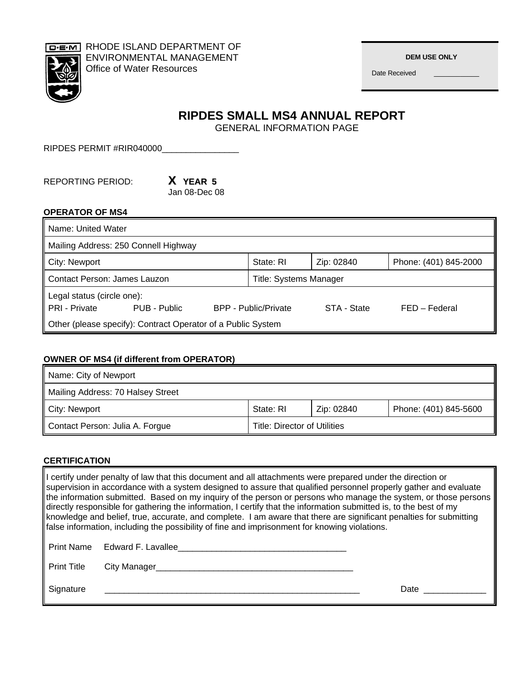

RHODE ISLAND DEPARTMENT OF ENVIRONMENTAL MANAGEMENT Office of Water Resources

 **DEM USE ONLY** 

Date Received

**RIPDES SMALL MS4 ANNUAL REPORT** 

GENERAL INFORMATION PAGE

RIPDES PERMIT #RIR040000\_\_\_\_\_\_\_\_\_\_\_\_\_\_\_\_\_\_

REPORTING PERIOD: **X YEAR 5**

Jan 08-Dec 08

### **OPERATOR OF MS4**

| Name: United Water                                           |              |                               |                             |             |                       |
|--------------------------------------------------------------|--------------|-------------------------------|-----------------------------|-------------|-----------------------|
| Mailing Address: 250 Connell Highway                         |              |                               |                             |             |                       |
| City: Newport                                                |              |                               | State: RI                   | Zip: 02840  | Phone: (401) 845-2000 |
| Contact Person: James Lauzon                                 |              | <b>Title: Systems Manager</b> |                             |             |                       |
| Legal status (circle one):<br>PRI - Private                  | PUB - Public |                               | <b>BPP - Public/Private</b> | STA - State | FED - Federal         |
| Other (please specify): Contract Operator of a Public System |              |                               |                             |             |                       |

### **OWNER OF MS4 (if different from OPERATOR)**

| Name: City of Newport             |                              |            |                       |
|-----------------------------------|------------------------------|------------|-----------------------|
| Mailing Address: 70 Halsey Street |                              |            |                       |
| City: Newport                     | State: RI                    | Zip: 02840 | Phone: (401) 845-5600 |
| Contact Person: Julia A. Forgue   | Title: Director of Utilities |            |                       |

### **CERTIFICATION**

I certify under penalty of law that this document and all attachments were prepared under the direction or supervision in accordance with a system designed to assure that qualified personnel properly gather and evaluate the information submitted. Based on my inquiry of the person or persons who manage the system, or those persons directly responsible for gathering the information, I certify that the information submitted is, to the best of my knowledge and belief, true, accurate, and complete. I am aware that there are significant penalties for submitting false information, including the possibility of fine and imprisonment for knowing violations. Print Name Edward F. Lavallee\_\_\_\_\_\_\_\_\_\_\_\_\_\_\_\_\_\_\_\_\_\_\_\_\_\_\_\_\_\_\_\_\_\_\_ Print Title City Manager\_\_\_\_\_\_\_\_\_\_\_\_\_\_\_\_\_\_\_\_\_\_\_\_\_\_\_\_\_\_\_\_\_\_\_\_\_\_\_\_\_ Signature \_\_\_\_\_\_\_\_\_\_\_\_\_\_\_\_\_\_\_\_\_\_\_\_\_\_\_\_\_\_\_\_\_\_\_\_\_\_\_\_\_\_\_\_\_\_\_\_\_\_\_\_\_ Date \_\_\_\_\_\_\_\_\_\_\_\_\_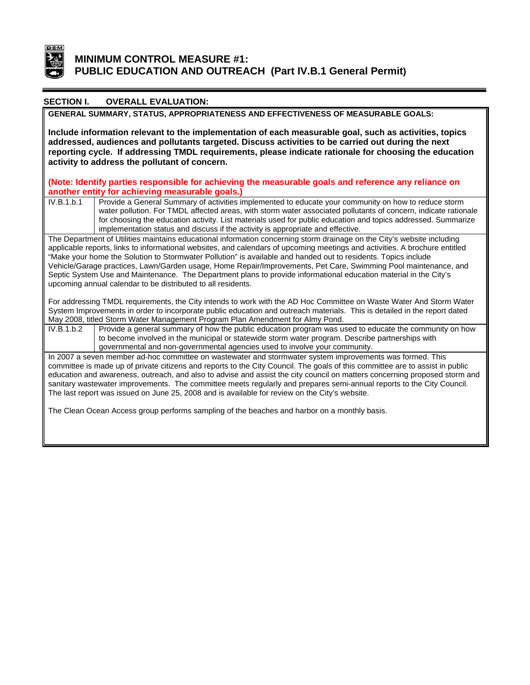

# **MINIMUM CONTROL MEASURE #1: PUBLIC EDUCATION AND OUTREACH (Part IV.B.1 General Permit)**

#### **OVERALL EVALUATION: SECTION I.**

**GENERAL SUMMARY, STATUS, APPROPRIATENESS AND EFFECTIVENESS OF MEASURABLE GOALS:** 

reporting cycle. If addressing TMDL requirements, please indicate rationale for choosing the education **Include information relevant to the implementation of each measurable goal, such as activities, topics addressed, audiences and pollutants targeted. Discuss activities to be carried out during the next activity to address the pollutant of concern.** 

(Note: Identify parties responsible for achieving the measurable goals and reference any reliance on **another entity for achieving measurable goals.)** 

IV.B.1.b.1 Provide a General Summary of activities implemented to educate your community on how to reduce storm water pollution. For TMDL affected areas, with storm water associated pollutants of concern, indicate ration ale for choosing the education activity. List materials used for public education and topics addressed. Summarize implementation status and discuss if the activity is appropriate and effective.

The Departme nt of Utilities maintains educational information concerning storm drainage on the City's website including applicable reports, links to informational websites, and calendars of upcoming meetings and activities. A brochure entitled "Make your home the Solution to Stormwater Pollution" is available and handed out to residents. Topics include Vehicle/Garage practices, Lawn/Garden usage, Home Repair/Improvements, Pet Care, Swimming Pool maintenance, and Septic System Use and Maintenance. The Department plans to provide informational education material in the City's upcoming annual calendar to be distributed to all residents.

For addressing TMDL requirements, the City intends to work with the AD Hoc Committee on Waste Water And Storm Water System Improvements in order to incorporate public education and outreach materials. This is detailed in the report dated May 2008, titled Storm Water Management Program Plan Amendment for Almy Pond.

IV.B.1.b.2 Provide a general summary of how the public education program was used to educate the community on how to become involved in the municipal or statewide storm water program. Describe partnerships with governmental and non-governmental agencies used to involve your community.

In 2007 a seven member ad-hoc committee on wastewater and stormwater system improvements was formed. This committee is made up of private citizens and reports to the City Council. The goals of this committee are to assist in public education and awareness, outreach, and also to advise and assist the city council on matters concerning proposed storm and sanitary wastewater improvements. The committee meets regularly and prepares semi-annual reports to the City Council. The last report was issued on June 25, 2008 and is available for review on the City's website.

The Clean Ocean Access group performs sampling of the beaches and harbor on a monthly basis.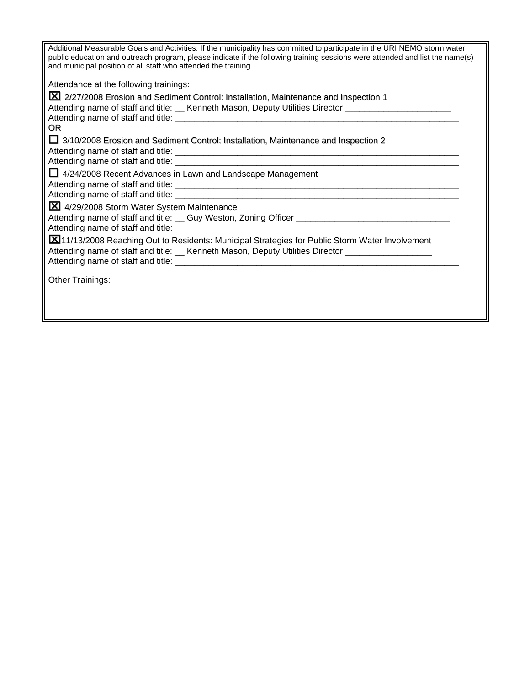| Additional Measurable Goals and Activities: If the municipality has committed to participate in the URI NEMO storm water<br>public education and outreach program, please indicate if the following training sessions were attended and list the name(s) |
|----------------------------------------------------------------------------------------------------------------------------------------------------------------------------------------------------------------------------------------------------------|
| and municipal position of all staff who attended the training.                                                                                                                                                                                           |
| Attendance at the following trainings:                                                                                                                                                                                                                   |
| X 2/27/2008 Erosion and Sediment Control: Installation, Maintenance and Inspection 1                                                                                                                                                                     |
| Attending name of staff and title: __ Kenneth Mason, Deputy Utilities Director _____________________                                                                                                                                                     |
|                                                                                                                                                                                                                                                          |
| OR.                                                                                                                                                                                                                                                      |
| □ 3/10/2008 Erosion and Sediment Control: Installation, Maintenance and Inspection 2                                                                                                                                                                     |
|                                                                                                                                                                                                                                                          |
|                                                                                                                                                                                                                                                          |
| $\Box$ 4/24/2008 Recent Advances in Lawn and Landscape Management                                                                                                                                                                                        |
|                                                                                                                                                                                                                                                          |
|                                                                                                                                                                                                                                                          |
| X 4/29/2008 Storm Water System Maintenance                                                                                                                                                                                                               |
| Attending name of staff and title: Cuy Weston, Zoning Officer Communication and Communication Attending name of                                                                                                                                          |
|                                                                                                                                                                                                                                                          |
| X 11/13/2008 Reaching Out to Residents: Municipal Strategies for Public Storm Water Involvement                                                                                                                                                          |
| Attending name of staff and title: Let Kenneth Mason, Deputy Utilities Director Let Allen Let Allen                                                                                                                                                      |
|                                                                                                                                                                                                                                                          |
|                                                                                                                                                                                                                                                          |
| Other Trainings:                                                                                                                                                                                                                                         |
|                                                                                                                                                                                                                                                          |
|                                                                                                                                                                                                                                                          |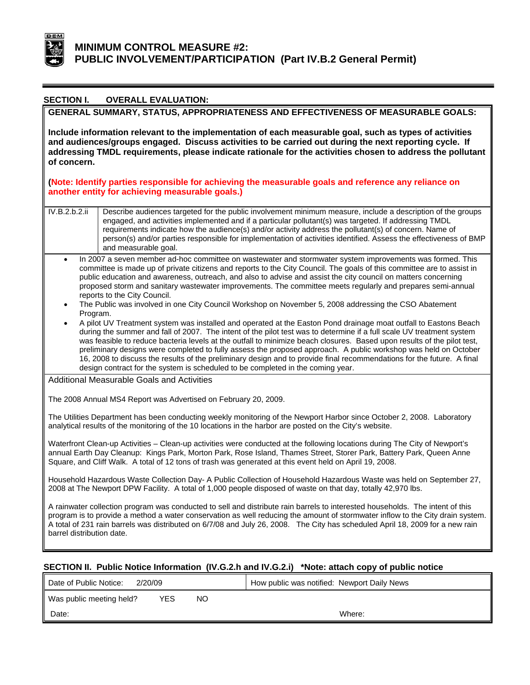

| <b>SECTION I.</b>                                                                                                                                                                                                                                                                                                                                              | <b>OVERALL EVALUATION:</b>                                                                                                                                                                                                                                                                                                                                                                                                                                                                                                                                                                                                                                                                           |  |  |  |
|----------------------------------------------------------------------------------------------------------------------------------------------------------------------------------------------------------------------------------------------------------------------------------------------------------------------------------------------------------------|------------------------------------------------------------------------------------------------------------------------------------------------------------------------------------------------------------------------------------------------------------------------------------------------------------------------------------------------------------------------------------------------------------------------------------------------------------------------------------------------------------------------------------------------------------------------------------------------------------------------------------------------------------------------------------------------------|--|--|--|
| GENERAL SUMMARY, STATUS, APPROPRIATENESS AND EFFECTIVENESS OF MEASURABLE GOALS:                                                                                                                                                                                                                                                                                |                                                                                                                                                                                                                                                                                                                                                                                                                                                                                                                                                                                                                                                                                                      |  |  |  |
| of concern.                                                                                                                                                                                                                                                                                                                                                    | Include information relevant to the implementation of each measurable goal, such as types of activities<br>and audiences/groups engaged. Discuss activities to be carried out during the next reporting cycle. If<br>addressing TMDL requirements, please indicate rationale for the activities chosen to address the pollutant<br>(Note: Identify parties responsible for achieving the measurable goals and reference any reliance on<br>another entity for achieving measurable goals.)                                                                                                                                                                                                           |  |  |  |
|                                                                                                                                                                                                                                                                                                                                                                |                                                                                                                                                                                                                                                                                                                                                                                                                                                                                                                                                                                                                                                                                                      |  |  |  |
| IV.B.2.b.2.ii                                                                                                                                                                                                                                                                                                                                                  | Describe audiences targeted for the public involvement minimum measure, include a description of the groups<br>engaged, and activities implemented and if a particular pollutant(s) was targeted. If addressing TMDL<br>requirements indicate how the audience(s) and/or activity address the pollutant(s) of concern. Name of<br>person(s) and/or parties responsible for implementation of activities identified. Assess the effectiveness of BMP<br>and measurable goal.                                                                                                                                                                                                                          |  |  |  |
|                                                                                                                                                                                                                                                                                                                                                                | In 2007 a seven member ad-hoc committee on wastewater and stormwater system improvements was formed. This<br>committee is made up of private citizens and reports to the City Council. The goals of this committee are to assist in<br>public education and awareness, outreach, and also to advise and assist the city council on matters concerning<br>proposed storm and sanitary wastewater improvements. The committee meets regularly and prepares semi-annual<br>reports to the City Council.<br>The Public was involved in one City Council Workshop on November 5, 2008 addressing the CSO Abatement                                                                                        |  |  |  |
| Program.                                                                                                                                                                                                                                                                                                                                                       | A pilot UV Treatment system was installed and operated at the Easton Pond drainage moat outfall to Eastons Beach<br>during the summer and fall of 2007. The intent of the pilot test was to determine if a full scale UV treatment system<br>was feasible to reduce bacteria levels at the outfall to minimize beach closures. Based upon results of the pilot test,<br>preliminary designs were completed to fully assess the proposed approach. A public workshop was held on October<br>16, 2008 to discuss the results of the preliminary design and to provide final recommendations for the future. A final<br>design contract for the system is scheduled to be completed in the coming year. |  |  |  |
|                                                                                                                                                                                                                                                                                                                                                                | Additional Measurable Goals and Activities                                                                                                                                                                                                                                                                                                                                                                                                                                                                                                                                                                                                                                                           |  |  |  |
|                                                                                                                                                                                                                                                                                                                                                                | The 2008 Annual MS4 Report was Advertised on February 20, 2009.                                                                                                                                                                                                                                                                                                                                                                                                                                                                                                                                                                                                                                      |  |  |  |
|                                                                                                                                                                                                                                                                                                                                                                | The Utilities Department has been conducting weekly monitoring of the Newport Harbor since October 2, 2008. Laboratory<br>analytical results of the monitoring of the 10 locations in the harbor are posted on the City's website.                                                                                                                                                                                                                                                                                                                                                                                                                                                                   |  |  |  |
| Waterfront Clean-up Activities - Clean-up activities were conducted at the following locations during The City of Newport's<br>annual Earth Day Cleanup: Kings Park, Morton Park, Rose Island, Thames Street, Storer Park, Battery Park, Queen Anne<br>Square, and Cliff Walk. A total of 12 tons of trash was generated at this event held on April 19, 2008. |                                                                                                                                                                                                                                                                                                                                                                                                                                                                                                                                                                                                                                                                                                      |  |  |  |
|                                                                                                                                                                                                                                                                                                                                                                | Household Hazardous Waste Collection Day- A Public Collection of Household Hazardous Waste was held on September 27,<br>2008 at The Newport DPW Facility. A total of 1,000 people disposed of waste on that day, totally 42,970 lbs.                                                                                                                                                                                                                                                                                                                                                                                                                                                                 |  |  |  |
| barrel distribution date.                                                                                                                                                                                                                                                                                                                                      | A rainwater collection program was conducted to sell and distribute rain barrels to interested households. The intent of this<br>program is to provide a method a water conservation as well reducing the amount of stormwater inflow to the City drain system.<br>A total of 231 rain barrels was distributed on 6/7/08 and July 26, 2008. The City has scheduled April 18, 2009 for a new rain                                                                                                                                                                                                                                                                                                     |  |  |  |

## **SECTION II. Public Notice Information (IV.G.2.h and IV.G.2.i) \*Note: attach copy of public notice**

| l Date of Public Notice:<br>2/20/09          | How public was notified: Newport Daily News |
|----------------------------------------------|---------------------------------------------|
| Was public meeting held?<br><b>YES</b><br>NΟ |                                             |
| Date:                                        | Where:                                      |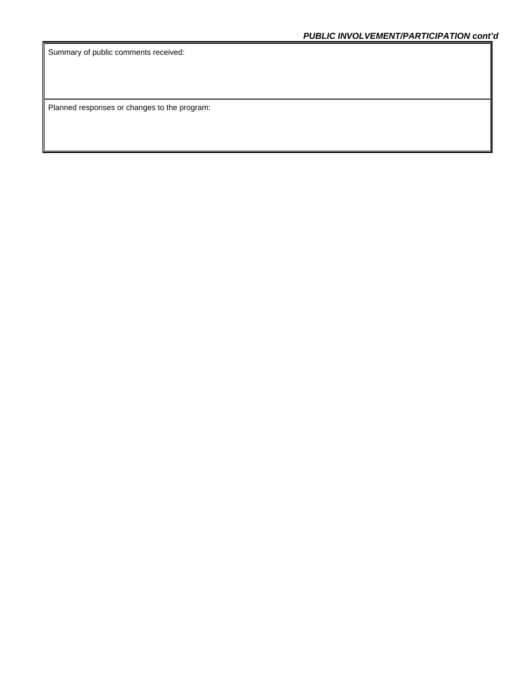Summary of public comments received:

Planned responses or changes to the program: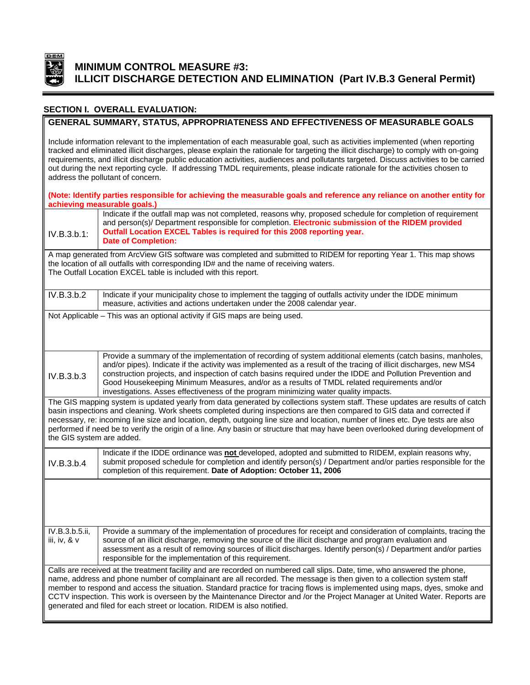

# **MINIMUM CONTROL MEASURE #3: ILLICIT DISCHARGE DETECTION AND ELIMINATION (Part IV.B.3 General Permit)**

### **SECTION I. OVERALL EVALUATION:**

### **GENERAL SUMMARY, STATUS, APPROPRIATENESS AND EFFECTIVENESS OF MEASURABLE GOALS**

Include information relevant to the implementation of each measurable goal, such as activities implemented (when reporting tracked and eliminated illicit discharges, please explain the rationale for targeting the illicit discharge) to comply with on-going requirements, and illicit discharge public education activities, audiences and pollutants targeted. Discuss activities to be carried out during the next reporting cycle. If addressing TMDL requirements, please indicate rationale for the activities chosen to address the pollutant of concern.

|                                  | (Note: Identify parties responsible for achieving the measurable goals and reference any reliance on another entity for<br>achieving measurable goals.)                                                                                                                                                                                                                                                                                                                                                                                                                                      |
|----------------------------------|----------------------------------------------------------------------------------------------------------------------------------------------------------------------------------------------------------------------------------------------------------------------------------------------------------------------------------------------------------------------------------------------------------------------------------------------------------------------------------------------------------------------------------------------------------------------------------------------|
| IV.B.3.b.1:                      | Indicate if the outfall map was not completed, reasons why, proposed schedule for completion of requirement<br>and person(s)/ Department responsible for completion. Electronic submission of the RIDEM provided<br>Outfall Location EXCEL Tables is required for this 2008 reporting year.<br><b>Date of Completion:</b>                                                                                                                                                                                                                                                                    |
|                                  | A map generated from ArcView GIS software was completed and submitted to RIDEM for reporting Year 1. This map shows<br>the location of all outfalls with corresponding ID# and the name of receiving waters.<br>The Outfall Location EXCEL table is included with this report.                                                                                                                                                                                                                                                                                                               |
| IV.B.3.b.2                       | Indicate if your municipality chose to implement the tagging of outfalls activity under the IDDE minimum<br>measure, activities and actions undertaken under the 2008 calendar year.                                                                                                                                                                                                                                                                                                                                                                                                         |
|                                  | Not Applicable - This was an optional activity if GIS maps are being used.                                                                                                                                                                                                                                                                                                                                                                                                                                                                                                                   |
| IV.B.3.b.3                       | Provide a summary of the implementation of recording of system additional elements (catch basins, manholes,<br>and/or pipes). Indicate if the activity was implemented as a result of the tracing of illicit discharges, new MS4<br>construction projects, and inspection of catch basins required under the IDDE and Pollution Prevention and<br>Good Housekeeping Minimum Measures, and/or as a results of TMDL related requirements and/or<br>investigations. Asses effectiveness of the program minimizing water quality impacts.                                                        |
| the GIS system are added.        | The GIS mapping system is updated yearly from data generated by collections system staff. These updates are results of catch<br>basin inspections and cleaning. Work sheets completed during inspections are then compared to GIS data and corrected if<br>necessary, re: incoming line size and location, depth, outgoing line size and location, number of lines etc. Dye tests are also<br>performed if need be to verify the origin of a line. Any basin or structure that may have been overlooked during development of                                                                |
| IV.B.3.b.4                       | Indicate if the IDDE ordinance was not developed, adopted and submitted to RIDEM, explain reasons why,<br>submit proposed schedule for completion and identify person(s) / Department and/or parties responsible for the<br>completion of this requirement. Date of Adoption: October 11, 2006                                                                                                                                                                                                                                                                                               |
|                                  |                                                                                                                                                                                                                                                                                                                                                                                                                                                                                                                                                                                              |
| IV.B.3.b.5.ii,<br>iii, iv, $&$ v | Provide a summary of the implementation of procedures for receipt and consideration of complaints, tracing the<br>source of an illicit discharge, removing the source of the illicit discharge and program evaluation and<br>assessment as a result of removing sources of illicit discharges. Identify person(s) / Department and/or parties<br>responsible for the implementation of this requirement.                                                                                                                                                                                     |
|                                  | Calls are received at the treatment facility and are recorded on numbered call slips. Date, time, who answered the phone,<br>name, address and phone number of complainant are all recorded. The message is then given to a collection system staff<br>member to respond and access the situation. Standard practice for tracing flows is implemented using maps, dyes, smoke and<br>CCTV inspection. This work is overseen by the Maintenance Director and /or the Project Manager at United Water. Reports are<br>generated and filed for each street or location. RIDEM is also notified. |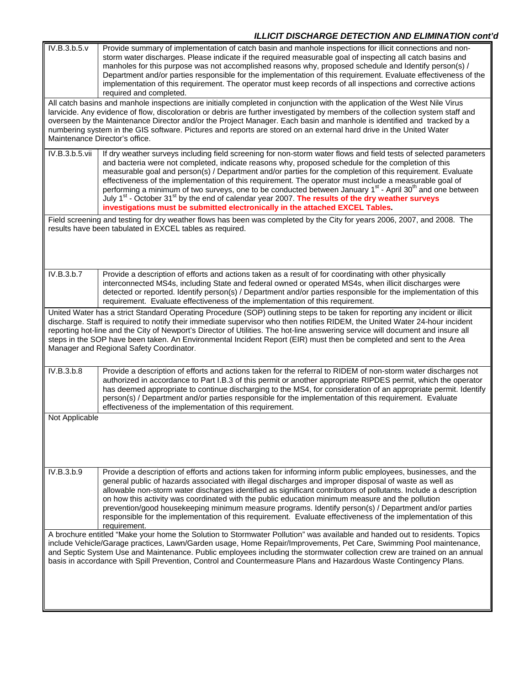# *ILLICIT DISCHARGE DETECTION AND ELIMINATION cont'd*

| Provide summary of implementation of catch basin and manhole inspections for illicit connections and non-<br>storm water discharges. Please indicate if the required measurable goal of inspecting all catch basins and<br>manholes for this purpose was not accomplished reasons why, proposed schedule and Identify person(s) /<br>Department and/or parties responsible for the implementation of this requirement. Evaluate effectiveness of the<br>implementation of this requirement. The operator must keep records of all inspections and corrective actions<br>required and completed.                                                                                                                                                                                                     |
|-----------------------------------------------------------------------------------------------------------------------------------------------------------------------------------------------------------------------------------------------------------------------------------------------------------------------------------------------------------------------------------------------------------------------------------------------------------------------------------------------------------------------------------------------------------------------------------------------------------------------------------------------------------------------------------------------------------------------------------------------------------------------------------------------------|
| All catch basins and manhole inspections are initially completed in conjunction with the application of the West Nile Virus<br>larvicide. Any evidence of flow, discoloration or debris are further investigated by members of the collection system staff and<br>overseen by the Maintenance Director and/or the Project Manager. Each basin and manhole is identified and tracked by a<br>numbering system in the GIS software. Pictures and reports are stored on an external hard drive in the United Water<br>Maintenance Director's office.                                                                                                                                                                                                                                                   |
| If dry weather surveys including field screening for non-storm water flows and field tests of selected parameters<br>and bacteria were not completed, indicate reasons why, proposed schedule for the completion of this<br>measurable goal and person(s) / Department and/or parties for the completion of this requirement. Evaluate<br>effectiveness of the implementation of this requirement. The operator must include a measurable goal of<br>performing a minimum of two surveys, one to be conducted between January 1 <sup>st</sup> - April 30 <sup>th</sup> and one between<br>July 1 <sup>st</sup> - October 31 <sup>st</sup> by the end of calendar year 2007. The results of the dry weather surveys<br>investigations must be submitted electronically in the attached EXCEL Tables. |
| Field screening and testing for dry weather flows has been was completed by the City for years 2006, 2007, and 2008. The<br>results have been tabulated in EXCEL tables as required.                                                                                                                                                                                                                                                                                                                                                                                                                                                                                                                                                                                                                |
| Provide a description of efforts and actions taken as a result of for coordinating with other physically<br>interconnected MS4s, including State and federal owned or operated MS4s, when illicit discharges were<br>detected or reported. Identify person(s) / Department and/or parties responsible for the implementation of this<br>requirement. Evaluate effectiveness of the implementation of this requirement.                                                                                                                                                                                                                                                                                                                                                                              |
| United Water has a strict Standard Operating Procedure (SOP) outlining steps to be taken for reporting any incident or illicit<br>discharge. Staff is required to notify their immediate supervisor who then notifies RIDEM, the United Water 24-hour incident<br>reporting hot-line and the City of Newport's Director of Utilities. The hot-line answering service will document and insure all<br>steps in the SOP have been taken. An Environmental Incident Report (EIR) must then be completed and sent to the Area<br>Manager and Regional Safety Coordinator.                                                                                                                                                                                                                               |
| Provide a description of efforts and actions taken for the referral to RIDEM of non-storm water discharges not<br>authorized in accordance to Part I.B.3 of this permit or another appropriate RIPDES permit, which the operator<br>has deemed appropriate to continue discharging to the MS4, for consideration of an appropriate permit. Identify<br>person(s) / Department and/or parties responsible for the implementation of this requirement. Evaluate<br>effectiveness of the implementation of this requirement.                                                                                                                                                                                                                                                                           |
|                                                                                                                                                                                                                                                                                                                                                                                                                                                                                                                                                                                                                                                                                                                                                                                                     |
| Provide a description of efforts and actions taken for informing inform public employees, businesses, and the<br>general public of hazards associated with illegal discharges and improper disposal of waste as well as<br>allowable non-storm water discharges identified as significant contributors of pollutants. Include a description<br>on how this activity was coordinated with the public education minimum measure and the pollution<br>prevention/good housekeeping minimum measure programs. Identify person(s) / Department and/or parties<br>responsible for the implementation of this requirement. Evaluate effectiveness of the implementation of this<br>requirement.                                                                                                            |
| A brochure entitled "Make your home the Solution to Stormwater Pollution" was available and handed out to residents. Topics<br>include Vehicle/Garage practices, Lawn/Garden usage, Home Repair/Improvements, Pet Care, Swimming Pool maintenance,<br>and Septic System Use and Maintenance. Public employees including the stormwater collection crew are trained on an annual<br>basis in accordance with Spill Prevention, Control and Countermeasure Plans and Hazardous Waste Contingency Plans.                                                                                                                                                                                                                                                                                               |
|                                                                                                                                                                                                                                                                                                                                                                                                                                                                                                                                                                                                                                                                                                                                                                                                     |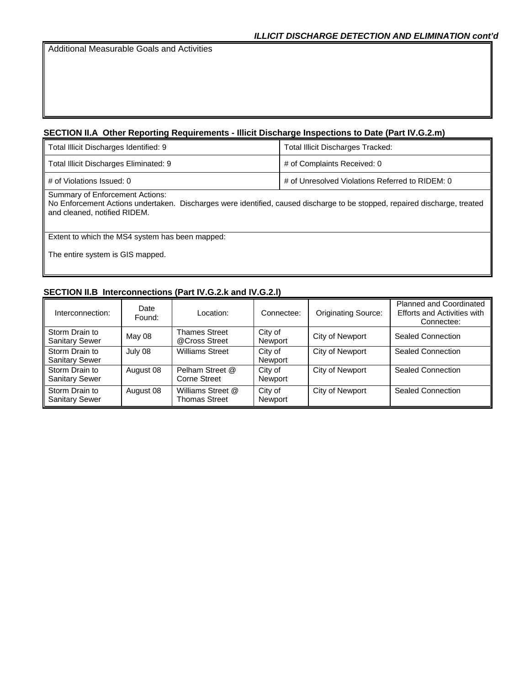Additional Measurable Goals and Activities

# **SECTION II.A Other Reporting Requirements - Illicit Discharge Inspections to Date (Part IV.G.2.m)**

| Total Illicit Discharges Identified: 9                                                                                                                                                        | <b>Total Illicit Discharges Tracked:</b>        |  |
|-----------------------------------------------------------------------------------------------------------------------------------------------------------------------------------------------|-------------------------------------------------|--|
| Total Illicit Discharges Eliminated: 9                                                                                                                                                        | # of Complaints Received: 0                     |  |
| # of Violations Issued: 0                                                                                                                                                                     | # of Unresolved Violations Referred to RIDEM: 0 |  |
| Summary of Enforcement Actions:<br>No Enforcement Actions undertaken. Discharges were identified, caused discharge to be stopped, repaired discharge, treated<br>and cleaned, notified RIDEM. |                                                 |  |
| Extent to which the MS4 system has been mapped:                                                                                                                                               |                                                 |  |
| The entire system is GIS mapped.                                                                                                                                                              |                                                 |  |

# **SECTION II.B Interconnections (Part IV.G.2.k and IV.G.2.l)**

| Interconnection:                        | Date<br>Found: | Location:                             | Connectee:         | <b>Originating Source:</b> | <b>Planned and Coordinated</b><br><b>Efforts and Activities with</b><br>Connectee: |
|-----------------------------------------|----------------|---------------------------------------|--------------------|----------------------------|------------------------------------------------------------------------------------|
| Storm Drain to<br><b>Sanitary Sewer</b> | May 08         | <b>Thames Street</b><br>@Cross Street | City of<br>Newport | City of Newport            | Sealed Connection                                                                  |
| Storm Drain to<br><b>Sanitary Sewer</b> | July 08        | <b>Williams Street</b>                | City of<br>Newport | City of Newport            | Sealed Connection                                                                  |
| Storm Drain to<br><b>Sanitary Sewer</b> | August 08      | Pelham Street @<br>Corne Street       | City of<br>Newport | City of Newport            | <b>Sealed Connection</b>                                                           |
| Storm Drain to<br><b>Sanitary Sewer</b> | August 08      | Williams Street @<br>Thomas Street    | City of<br>Newport | City of Newport            | Sealed Connection                                                                  |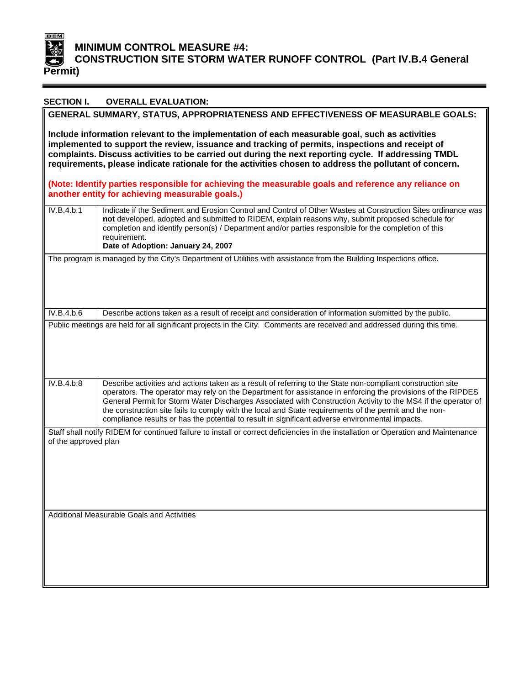

# **MINIMUM CONTROL MEASURE #4: CONSTRUCTION SITE STORM WATER RUNOFF CONTROL (Part IV.B.4 General**

| <b>SECTION I.</b>                                                                                                                                                                                                                                                                                                                                                                                                   | <b>OVERALL EVALUATION:</b>                                                                                                                                                                                                                                                                                                                                                                                                                                                                                                                               |  |
|---------------------------------------------------------------------------------------------------------------------------------------------------------------------------------------------------------------------------------------------------------------------------------------------------------------------------------------------------------------------------------------------------------------------|----------------------------------------------------------------------------------------------------------------------------------------------------------------------------------------------------------------------------------------------------------------------------------------------------------------------------------------------------------------------------------------------------------------------------------------------------------------------------------------------------------------------------------------------------------|--|
| GENERAL SUMMARY, STATUS, APPROPRIATENESS AND EFFECTIVENESS OF MEASURABLE GOALS:                                                                                                                                                                                                                                                                                                                                     |                                                                                                                                                                                                                                                                                                                                                                                                                                                                                                                                                          |  |
| Include information relevant to the implementation of each measurable goal, such as activities<br>implemented to support the review, issuance and tracking of permits, inspections and receipt of<br>complaints. Discuss activities to be carried out during the next reporting cycle. If addressing TMDL<br>requirements, please indicate rationale for the activities chosen to address the pollutant of concern. |                                                                                                                                                                                                                                                                                                                                                                                                                                                                                                                                                          |  |
|                                                                                                                                                                                                                                                                                                                                                                                                                     | (Note: Identify parties responsible for achieving the measurable goals and reference any reliance on<br>another entity for achieving measurable goals.)                                                                                                                                                                                                                                                                                                                                                                                                  |  |
| IV.B.4.b.1                                                                                                                                                                                                                                                                                                                                                                                                          | Indicate if the Sediment and Erosion Control and Control of Other Wastes at Construction Sites ordinance was<br>not developed, adopted and submitted to RIDEM, explain reasons why, submit proposed schedule for<br>completion and identify person(s) / Department and/or parties responsible for the completion of this<br>requirement.<br>Date of Adoption: January 24, 2007                                                                                                                                                                           |  |
|                                                                                                                                                                                                                                                                                                                                                                                                                     | The program is managed by the City's Department of Utilities with assistance from the Building Inspections office.                                                                                                                                                                                                                                                                                                                                                                                                                                       |  |
| IV.B.4.b.6                                                                                                                                                                                                                                                                                                                                                                                                          | Describe actions taken as a result of receipt and consideration of information submitted by the public.                                                                                                                                                                                                                                                                                                                                                                                                                                                  |  |
|                                                                                                                                                                                                                                                                                                                                                                                                                     |                                                                                                                                                                                                                                                                                                                                                                                                                                                                                                                                                          |  |
| IV.B.4.b.8                                                                                                                                                                                                                                                                                                                                                                                                          | Describe activities and actions taken as a result of referring to the State non-compliant construction site<br>operators. The operator may rely on the Department for assistance in enforcing the provisions of the RIPDES<br>General Permit for Storm Water Discharges Associated with Construction Activity to the MS4 if the operator of<br>the construction site fails to comply with the local and State requirements of the permit and the non-<br>compliance results or has the potential to result in significant adverse environmental impacts. |  |
| Staff shall notify RIDEM for continued failure to install or correct deficiencies in the installation or Operation and Maintenance<br>of the approved plan<br>Additional Measurable Goals and Activities                                                                                                                                                                                                            |                                                                                                                                                                                                                                                                                                                                                                                                                                                                                                                                                          |  |
|                                                                                                                                                                                                                                                                                                                                                                                                                     |                                                                                                                                                                                                                                                                                                                                                                                                                                                                                                                                                          |  |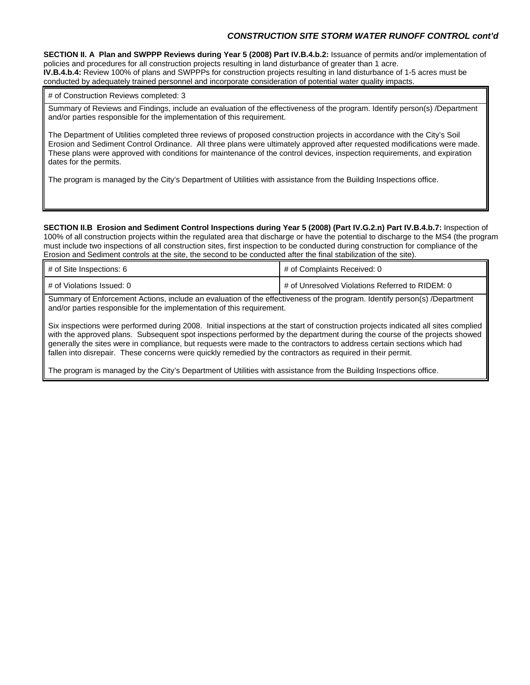### *CONSTRUCTION SITE STORM WATER RUNOFF CONTROL cont'd*

**SECTION II. A Plan and SWPPP Reviews during Year 5 (2008) Part IV.B.4.b.2:** Issuance of permits and/or implementation of policies and procedures for all construction projects resulting in land disturbance of greater than 1 acre. **IV.B.4.b.4:** Review 100% of plans and SWPPPs for construction projects resulting in land disturbance of 1-5 acres must be conducted by adequately trained personnel and incorporate consideration of potential water quality impacts.

### # of Construction Reviews completed: 3

Summary of Reviews and Findings, include an evaluation of the effectiveness of the program. Identify person(s) /Department and/or parties responsible for the implementation of this requirement.

The Department of Utilities completed three reviews of proposed construction projects in accordance with the City's Soil Erosion and Sediment Control Ordinance. All three plans were ultimately approved after requested modifications were made. These plans were approved with conditions for maintenance of the control devices, inspection requirements, and expiration dates for the permits.

The program is managed by the City's Department of Utilities with assistance from the Building Inspections office.

**SECTION II.B Erosion and Sediment Control Inspections during Year 5 (2008) (Part IV.G.2.n) Part IV.B.4.b.7:** Inspection of 100% of all construction projects within the regulated area that discharge or have the potential to discharge to the MS4 (the program must include two inspections of all construction sites, first inspection to be conducted during construction for compliance of the Erosion and Sediment controls at the site, the second to be conducted after the final stabilization of the site).

| # of Site Inspections: 6  | # of Complaints Received: 0                     |  |
|---------------------------|-------------------------------------------------|--|
| # of Violations Issued: 0 | # of Unresolved Violations Referred to RIDEM: 0 |  |

Summary of Enforcement Actions, include an evaluation of the effectiveness of the program. Identify person(s) /Department and/or parties responsible for the implementation of this requirement.

Six inspections were performed during 2008. Initial inspections at the start of construction projects indicated all sites complied with the approved plans. Subsequent spot inspections performed by the department during the course of the projects showed generally the sites were in compliance, but requests were made to the contractors to address certain sections which had fallen into disrepair. These concerns were quickly remedied by the contractors as required in their permit.

The program is managed by the City's Department of Utilities with assistance from the Building Inspections office.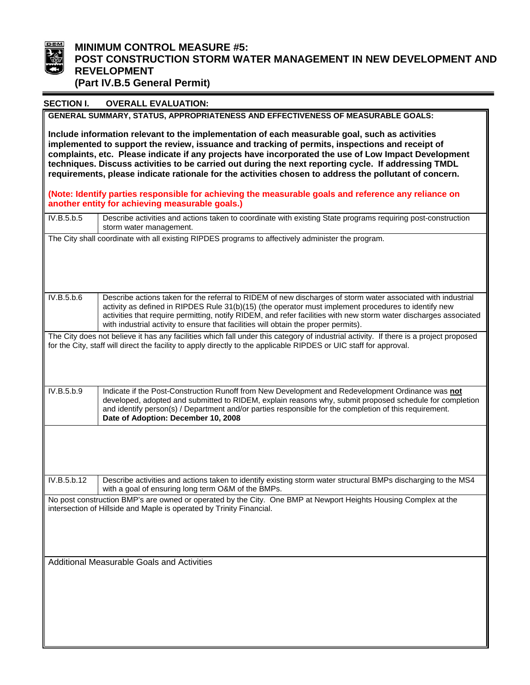

# **MINIMUM CONTROL MEASURE #5:**<br>POST CONSTRUCTION STORM WA **POST CONSTRUCTION STORM WATER MANAGEMENT IN NEW DEVELOPMENT AND**  REVELOPMENT **(Part IV.B.5 General Permit)**

| <b>SECTION I.</b>                                                                                    | <b>OVERALL EVALUATION:</b>                                                                                                                                                                                                                                                                                                                                                                                                       |  |  |
|------------------------------------------------------------------------------------------------------|----------------------------------------------------------------------------------------------------------------------------------------------------------------------------------------------------------------------------------------------------------------------------------------------------------------------------------------------------------------------------------------------------------------------------------|--|--|
|                                                                                                      | GENERAL SUMMARY, STATUS, APPROPRIATENESS AND EFFECTIVENESS OF MEASURABLE GOALS:                                                                                                                                                                                                                                                                                                                                                  |  |  |
|                                                                                                      | Include information relevant to the implementation of each measurable goal, such as activities                                                                                                                                                                                                                                                                                                                                   |  |  |
| implemented to support the review, issuance and tracking of permits, inspections and receipt of      |                                                                                                                                                                                                                                                                                                                                                                                                                                  |  |  |
| complaints, etc. Please indicate if any projects have incorporated the use of Low Impact Development |                                                                                                                                                                                                                                                                                                                                                                                                                                  |  |  |
|                                                                                                      | techniques. Discuss activities to be carried out during the next reporting cycle. If addressing TMDL                                                                                                                                                                                                                                                                                                                             |  |  |
|                                                                                                      | requirements, please indicate rationale for the activities chosen to address the pollutant of concern.                                                                                                                                                                                                                                                                                                                           |  |  |
|                                                                                                      | (Note: Identify parties responsible for achieving the measurable goals and reference any reliance on<br>another entity for achieving measurable goals.)                                                                                                                                                                                                                                                                          |  |  |
| IV.B.5.b.5                                                                                           | Describe activities and actions taken to coordinate with existing State programs requiring post-construction<br>storm water management.                                                                                                                                                                                                                                                                                          |  |  |
|                                                                                                      | The City shall coordinate with all existing RIPDES programs to affectively administer the program.                                                                                                                                                                                                                                                                                                                               |  |  |
|                                                                                                      |                                                                                                                                                                                                                                                                                                                                                                                                                                  |  |  |
| $IV.B.\overline{5.b.6}$                                                                              | Describe actions taken for the referral to RIDEM of new discharges of storm water associated with industrial<br>activity as defined in RIPDES Rule 31(b)(15) (the operator must implement procedures to identify new<br>activities that require permitting, notify RIDEM, and refer facilities with new storm water discharges associated<br>with industrial activity to ensure that facilities will obtain the proper permits). |  |  |
|                                                                                                      | The City does not believe it has any facilities which fall under this category of industrial activity. If there is a project proposed<br>for the City, staff will direct the facility to apply directly to the applicable RIPDES or UIC staff for approval.                                                                                                                                                                      |  |  |
| IV.B.5.b.9                                                                                           | Indicate if the Post-Construction Runoff from New Development and Redevelopment Ordinance was not<br>developed, adopted and submitted to RIDEM, explain reasons why, submit proposed schedule for completion<br>and identify person(s) / Department and/or parties responsible for the completion of this requirement.<br>Date of Adoption: December 10, 2008                                                                    |  |  |
|                                                                                                      |                                                                                                                                                                                                                                                                                                                                                                                                                                  |  |  |
| IV.B.5.b.12                                                                                          | Describe activities and actions taken to identify existing storm water structural BMPs discharging to the MS4<br>with a goal of ensuring long term O&M of the BMPs.                                                                                                                                                                                                                                                              |  |  |
|                                                                                                      | No post construction BMP's are owned or operated by the City. One BMP at Newport Heights Housing Complex at the<br>intersection of Hillside and Maple is operated by Trinity Financial.                                                                                                                                                                                                                                          |  |  |
|                                                                                                      | Additional Measurable Goals and Activities                                                                                                                                                                                                                                                                                                                                                                                       |  |  |
|                                                                                                      |                                                                                                                                                                                                                                                                                                                                                                                                                                  |  |  |
|                                                                                                      |                                                                                                                                                                                                                                                                                                                                                                                                                                  |  |  |
|                                                                                                      |                                                                                                                                                                                                                                                                                                                                                                                                                                  |  |  |
|                                                                                                      |                                                                                                                                                                                                                                                                                                                                                                                                                                  |  |  |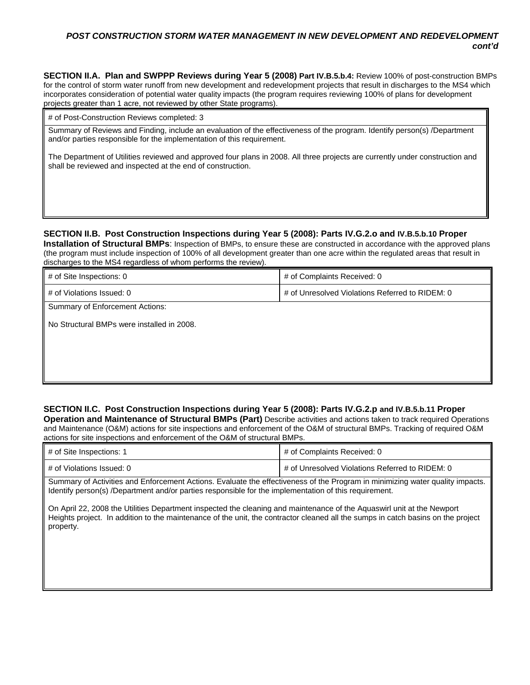### *POST CONSTRUCTION STORM WATER MANAGEMENT IN NEW DEVELOPMENT AND REDEVELOPMENT cont'd*

**SECTION II.A. Plan and SWPPP Reviews during Year 5 (2008) Part IV.B.5.b.4:** Review 100% of post-construction BMPs for the control of storm water runoff from new development and redevelopment projects that result in discharges to the MS4 which incorporates consideration of potential water quality impacts (the program requires reviewing 100% of plans for development projects greater than 1 acre, not reviewed by other State programs).

# of Post-Construction Reviews completed: 3

Summary of Reviews and Finding, include an evaluation of the effectiveness of the program. Identify person(s) /Department and/or parties responsible for the implementation of this requirement.

The Department of Utilities reviewed and approved four plans in 2008. All three projects are currently under construction and shall be reviewed and inspected at the end of construction.

### SECTION II.B. Post Construction Inspections during Year 5 (2008): Parts IV.G.2.o and IV.B.5.b.10 Proper

**Installation of Structural BMPs**: Inspection of BMPs, to ensure these are constructed in accordance with the approved plans ( the program must include inspection of 100% of all development greater than one acre within the regulated areas that result in discharges to the MS4 regardless of whom performs the review).

| # of Site Inspections: 0                   | # of Complaints Received: 0                     |  |  |  |
|--------------------------------------------|-------------------------------------------------|--|--|--|
| # of Violations Issued: 0                  | # of Unresolved Violations Referred to RIDEM: 0 |  |  |  |
| <b>Summary of Enforcement Actions:</b>     |                                                 |  |  |  |
| No Structural BMPs were installed in 2008. |                                                 |  |  |  |
|                                            |                                                 |  |  |  |
|                                            |                                                 |  |  |  |
|                                            |                                                 |  |  |  |
|                                            |                                                 |  |  |  |

### **SECTION II.C. Post Construction Inspections during Year 5 (2008): Parts IV.G.2.p and IV.B.5.b.11 Proper**

Operation and Maintenance of Structural BMPs (Part) Describe activities and actions taken to track required Operations and Maintenance (O&M) actions for site inspections and enforcement of the O&M of structural BMPs. Tracking of required O&M actions for site inspections and enforcement of the O&M of structural BMPs.

| # of Site Inspections: 1  | # of Complaints Received: 0                     |  |
|---------------------------|-------------------------------------------------|--|
| # of Violations Issued: 0 | # of Unresolved Violations Referred to RIDEM: 0 |  |

Summary of Activities and Enforcement Actions. Evaluate the effectiveness of the Program in minimizing water quality impacts. Identify person(s) /Department and/or parties responsible for the implementation of this requirement.

On April 22, 2008 the Utilities Department inspected the cleaning and maintenance of the Aquaswirl unit at the Newport Heights project. In addition to the maintenance of the unit, the contractor cleaned all the sumps in catch basins on the project property.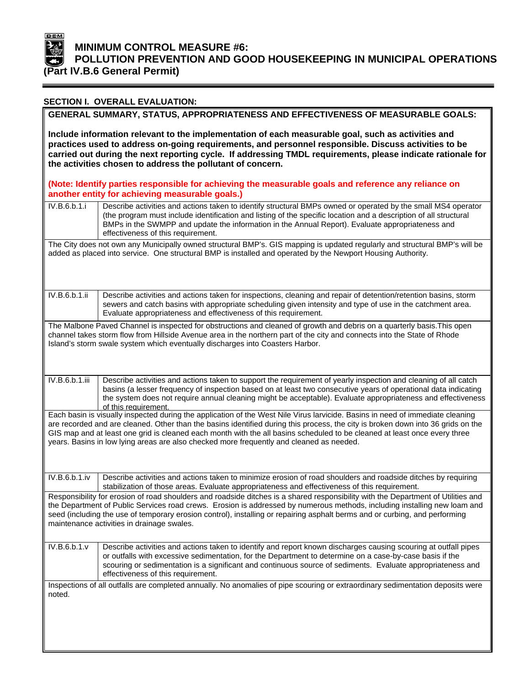

### **( Part IV.B.6 General Permit) MINIMUM CONTROL MEASURE #6: POLLUTION PREVENTION AND GOOD HOUSEKEEPING IN MUNICIPAL OPERATIONS**

|                                                                                                                                                                                                                                                                                                                                                                                                                                                                                             | <b>SECTION I. OVERALL EVALUATION:</b>                                                                                                                                                                                                                                                                                                                                            |  |  |  |
|---------------------------------------------------------------------------------------------------------------------------------------------------------------------------------------------------------------------------------------------------------------------------------------------------------------------------------------------------------------------------------------------------------------------------------------------------------------------------------------------|----------------------------------------------------------------------------------------------------------------------------------------------------------------------------------------------------------------------------------------------------------------------------------------------------------------------------------------------------------------------------------|--|--|--|
|                                                                                                                                                                                                                                                                                                                                                                                                                                                                                             | GENERAL SUMMARY, STATUS, APPROPRIATENESS AND EFFECTIVENESS OF MEASURABLE GOALS:                                                                                                                                                                                                                                                                                                  |  |  |  |
| Include information relevant to the implementation of each measurable goal, such as activities and<br>practices used to address on-going requirements, and personnel responsible. Discuss activities to be<br>carried out during the next reporting cycle. If addressing TMDL requirements, please indicate rationale for<br>the activities chosen to address the pollutant of concern.                                                                                                     |                                                                                                                                                                                                                                                                                                                                                                                  |  |  |  |
|                                                                                                                                                                                                                                                                                                                                                                                                                                                                                             | (Note: Identify parties responsible for achieving the measurable goals and reference any reliance on<br>another entity for achieving measurable goals.)                                                                                                                                                                                                                          |  |  |  |
| IV.B.6.b.1.i                                                                                                                                                                                                                                                                                                                                                                                                                                                                                | Describe activities and actions taken to identify structural BMPs owned or operated by the small MS4 operator<br>(the program must include identification and listing of the specific location and a description of all structural<br>BMPs in the SWMPP and update the information in the Annual Report). Evaluate appropriateness and<br>effectiveness of this requirement.     |  |  |  |
|                                                                                                                                                                                                                                                                                                                                                                                                                                                                                             | The City does not own any Municipally owned structural BMP's. GIS mapping is updated regularly and structural BMP's will be<br>added as placed into service. One structural BMP is installed and operated by the Newport Housing Authority.                                                                                                                                      |  |  |  |
| IV.B.6.b.1.ii                                                                                                                                                                                                                                                                                                                                                                                                                                                                               | Describe activities and actions taken for inspections, cleaning and repair of detention/retention basins, storm<br>sewers and catch basins with appropriate scheduling given intensity and type of use in the catchment area.<br>Evaluate appropriateness and effectiveness of this requirement.                                                                                 |  |  |  |
|                                                                                                                                                                                                                                                                                                                                                                                                                                                                                             | The Malbone Paved Channel is inspected for obstructions and cleaned of growth and debris on a quarterly basis. This open<br>channel takes storm flow from Hillside Avenue area in the northern part of the city and connects into the State of Rhode<br>Island's storm swale system which eventually discharges into Coasters Harbor.                                            |  |  |  |
| IV.B.6.b.1.iii                                                                                                                                                                                                                                                                                                                                                                                                                                                                              | Describe activities and actions taken to support the requirement of yearly inspection and cleaning of all catch<br>basins (a lesser frequency of inspection based on at least two consecutive years of operational data indicating<br>the system does not require annual cleaning might be acceptable). Evaluate appropriateness and effectiveness<br>of this requirement.       |  |  |  |
| Each basin is visually inspected during the application of the West Nile Virus larvicide. Basins in need of immediate cleaning<br>are recorded and are cleaned. Other than the basins identified during this process, the city is broken down into 36 grids on the<br>GIS map and at least one grid is cleaned each month with the all basins scheduled to be cleaned at least once every three<br>years. Basins in low lying areas are also checked more frequently and cleaned as needed. |                                                                                                                                                                                                                                                                                                                                                                                  |  |  |  |
|                                                                                                                                                                                                                                                                                                                                                                                                                                                                                             | IV.B.6.b.1.iv   Describe activities and actions taken to minimize erosion of road shoulders and roadside ditches by requiring<br>stabilization of those areas. Evaluate appropriateness and effectiveness of this requirement.                                                                                                                                                   |  |  |  |
| Responsibility for erosion of road shoulders and roadside ditches is a shared responsibility with the Department of Utilities and<br>the Department of Public Services road crews. Erosion is addressed by numerous methods, including installing new loam and<br>seed (including the use of temporary erosion control), installing or repairing asphalt berms and or curbing, and performing<br>maintenance activities in drainage swales.                                                 |                                                                                                                                                                                                                                                                                                                                                                                  |  |  |  |
| IV.B.6.b.1.v                                                                                                                                                                                                                                                                                                                                                                                                                                                                                | Describe activities and actions taken to identify and report known discharges causing scouring at outfall pipes<br>or outfalls with excessive sedimentation, for the Department to determine on a case-by-case basis if the<br>scouring or sedimentation is a significant and continuous source of sediments. Evaluate appropriateness and<br>effectiveness of this requirement. |  |  |  |
| noted.                                                                                                                                                                                                                                                                                                                                                                                                                                                                                      | Inspections of all outfalls are completed annually. No anomalies of pipe scouring or extraordinary sedimentation deposits were                                                                                                                                                                                                                                                   |  |  |  |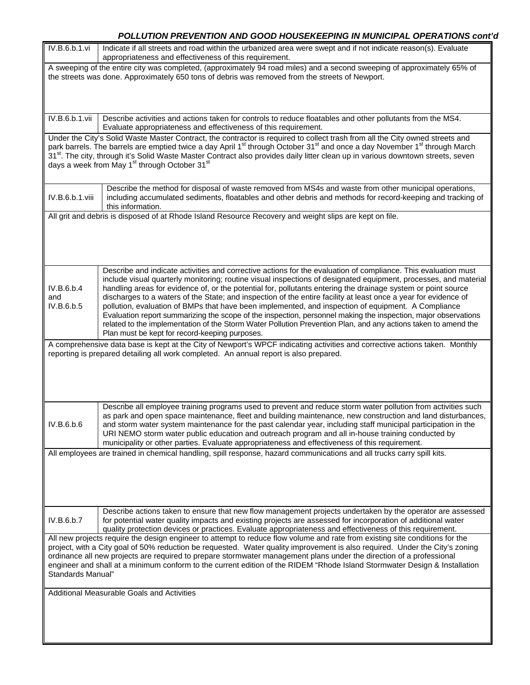# *POLLUTION PREVENTION AND GOOD HOUSEKEEPING IN MUNICIPAL OPERATIONS cont'd*

| IV.B.6.b.1.vi                                                                                                                                                                                                                                                                                                                                                                                                                                                                                                                           | Indicate if all streets and road within the urbanized area were swept and if not indicate reason(s). Evaluate<br>appropriateness and effectiveness of this requirement.                                                                                                                                                                                                                                                                                                                                                                                                                                                                                                                                                                                                                                                                                             |  |  |  |
|-----------------------------------------------------------------------------------------------------------------------------------------------------------------------------------------------------------------------------------------------------------------------------------------------------------------------------------------------------------------------------------------------------------------------------------------------------------------------------------------------------------------------------------------|---------------------------------------------------------------------------------------------------------------------------------------------------------------------------------------------------------------------------------------------------------------------------------------------------------------------------------------------------------------------------------------------------------------------------------------------------------------------------------------------------------------------------------------------------------------------------------------------------------------------------------------------------------------------------------------------------------------------------------------------------------------------------------------------------------------------------------------------------------------------|--|--|--|
|                                                                                                                                                                                                                                                                                                                                                                                                                                                                                                                                         | A sweeping of the entire city was completed, (approximately 94 road miles) and a second sweeping of approximately 65% of<br>the streets was done. Approximately 650 tons of debris was removed from the streets of Newport.                                                                                                                                                                                                                                                                                                                                                                                                                                                                                                                                                                                                                                         |  |  |  |
|                                                                                                                                                                                                                                                                                                                                                                                                                                                                                                                                         |                                                                                                                                                                                                                                                                                                                                                                                                                                                                                                                                                                                                                                                                                                                                                                                                                                                                     |  |  |  |
| IV.B.6.b.1.vii                                                                                                                                                                                                                                                                                                                                                                                                                                                                                                                          | Describe activities and actions taken for controls to reduce floatables and other pollutants from the MS4.<br>Evaluate appropriateness and effectiveness of this requirement.                                                                                                                                                                                                                                                                                                                                                                                                                                                                                                                                                                                                                                                                                       |  |  |  |
|                                                                                                                                                                                                                                                                                                                                                                                                                                                                                                                                         | Under the City's Solid Waste Master Contract, the contractor is required to collect trash from all the City owned streets and<br>park barrels. The barrels are emptied twice a day April 1 <sup>st</sup> through October 31 <sup>st</sup> and once a day November 1 <sup>st</sup> through March<br>31 <sup>st</sup> . The city, through it's Solid Waste Master Contract also provides daily litter clean up in various downtown streets, seven<br>days a week from May 1 <sup>st</sup> through October 31 <sup>st</sup>                                                                                                                                                                                                                                                                                                                                            |  |  |  |
| IV.B.6.b.1.viii                                                                                                                                                                                                                                                                                                                                                                                                                                                                                                                         | Describe the method for disposal of waste removed from MS4s and waste from other municipal operations,<br>including accumulated sediments, floatables and other debris and methods for record-keeping and tracking of<br>this information.                                                                                                                                                                                                                                                                                                                                                                                                                                                                                                                                                                                                                          |  |  |  |
|                                                                                                                                                                                                                                                                                                                                                                                                                                                                                                                                         | All grit and debris is disposed of at Rhode Island Resource Recovery and weight slips are kept on file.                                                                                                                                                                                                                                                                                                                                                                                                                                                                                                                                                                                                                                                                                                                                                             |  |  |  |
|                                                                                                                                                                                                                                                                                                                                                                                                                                                                                                                                         |                                                                                                                                                                                                                                                                                                                                                                                                                                                                                                                                                                                                                                                                                                                                                                                                                                                                     |  |  |  |
| IV.B.6.b.4<br>and<br>IV.B.6.b.5                                                                                                                                                                                                                                                                                                                                                                                                                                                                                                         | Describe and indicate activities and corrective actions for the evaluation of compliance. This evaluation must<br>include visual quarterly monitoring; routine visual inspections of designated equipment, processes, and material<br>handling areas for evidence of, or the potential for, pollutants entering the drainage system or point source<br>discharges to a waters of the State; and inspection of the entire facility at least once a year for evidence of<br>pollution, evaluation of BMPs that have been implemented, and inspection of equipment. A Compliance<br>Evaluation report summarizing the scope of the inspection, personnel making the inspection, major observations<br>related to the implementation of the Storm Water Pollution Prevention Plan, and any actions taken to amend the<br>Plan must be kept for record-keeping purposes. |  |  |  |
|                                                                                                                                                                                                                                                                                                                                                                                                                                                                                                                                         | A comprehensive data base is kept at the City of Newport's WPCF indicating activities and corrective actions taken. Monthly<br>reporting is prepared detailing all work completed. An annual report is also prepared.                                                                                                                                                                                                                                                                                                                                                                                                                                                                                                                                                                                                                                               |  |  |  |
| IV.B.6.b.6                                                                                                                                                                                                                                                                                                                                                                                                                                                                                                                              | Describe all employee training programs used to prevent and reduce storm water pollution from activities such<br>as park and open space maintenance, fleet and building maintenance, new construction and land disturbances,<br>and storm water system maintenance for the past calendar year, including staff municipal participation in the<br>URI NEMO storm water public education and outreach program and all in-house training conducted by<br>municipality or other parties. Evaluate appropriateness and effectiveness of this requirement.                                                                                                                                                                                                                                                                                                                |  |  |  |
| All employees are trained in chemical handling, spill response, hazard communications and all trucks carry spill kits.                                                                                                                                                                                                                                                                                                                                                                                                                  |                                                                                                                                                                                                                                                                                                                                                                                                                                                                                                                                                                                                                                                                                                                                                                                                                                                                     |  |  |  |
|                                                                                                                                                                                                                                                                                                                                                                                                                                                                                                                                         |                                                                                                                                                                                                                                                                                                                                                                                                                                                                                                                                                                                                                                                                                                                                                                                                                                                                     |  |  |  |
| IV.B.6.b.7                                                                                                                                                                                                                                                                                                                                                                                                                                                                                                                              | Describe actions taken to ensure that new flow management projects undertaken by the operator are assessed<br>for potential water quality impacts and existing projects are assessed for incorporation of additional water<br>quality protection devices or practices. Evaluate appropriateness and effectiveness of this requirement.                                                                                                                                                                                                                                                                                                                                                                                                                                                                                                                              |  |  |  |
| All new projects require the design engineer to attempt to reduce flow volume and rate from existing site conditions for the<br>project, with a City goal of 50% reduction be requested. Water quality improvement is also required. Under the City's zoning<br>ordinance all new projects are required to prepare stormwater management plans under the direction of a professional<br>engineer and shall at a minimum conform to the current edition of the RIDEM "Rhode Island Stormwater Design & Installation<br>Standards Manual" |                                                                                                                                                                                                                                                                                                                                                                                                                                                                                                                                                                                                                                                                                                                                                                                                                                                                     |  |  |  |
| Additional Measurable Goals and Activities                                                                                                                                                                                                                                                                                                                                                                                                                                                                                              |                                                                                                                                                                                                                                                                                                                                                                                                                                                                                                                                                                                                                                                                                                                                                                                                                                                                     |  |  |  |
|                                                                                                                                                                                                                                                                                                                                                                                                                                                                                                                                         |                                                                                                                                                                                                                                                                                                                                                                                                                                                                                                                                                                                                                                                                                                                                                                                                                                                                     |  |  |  |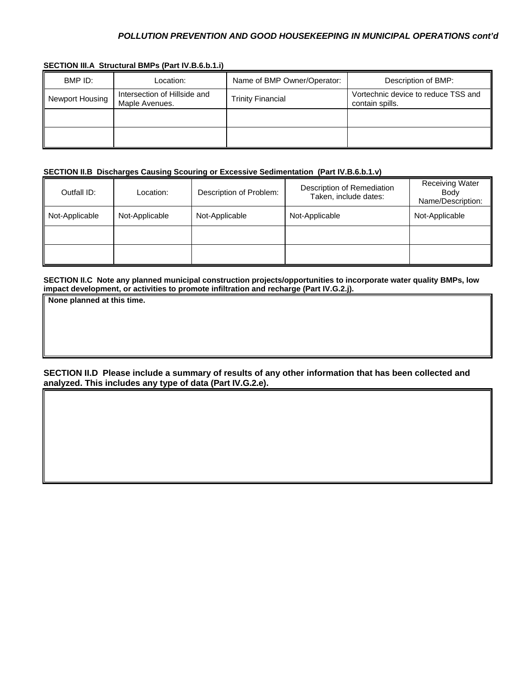### *POLLUTION PREVENTION AND GOOD HOUSEKEEPING IN MUNICIPAL OPERATIONS cont'd*

| SECTION III.A Structural BMPs (Part IV.B.6.b.1.i) |  |  |  |  |
|---------------------------------------------------|--|--|--|--|
|---------------------------------------------------|--|--|--|--|

| BMP ID:         | Location:                                      | Name of BMP Owner/Operator: | Description of BMP:                                    |
|-----------------|------------------------------------------------|-----------------------------|--------------------------------------------------------|
| Newport Housing | Intersection of Hillside and<br>Maple Avenues. | <b>Trinity Financial</b>    | Vortechnic device to reduce TSS and<br>contain spills. |
|                 |                                                |                             |                                                        |
|                 |                                                |                             |                                                        |

### **SECTION II.B Discharges Causing Scouring or Excessive Sedimentation (Part IV.B.6.b.1.v)**

| Outfall ID:    | Location:      | Description of Problem: | Description of Remediation<br>Taken, include dates: | <b>Receiving Water</b><br>Body<br>Name/Description: |
|----------------|----------------|-------------------------|-----------------------------------------------------|-----------------------------------------------------|
| Not-Applicable | Not-Applicable | Not-Applicable          | Not-Applicable                                      | Not-Applicable                                      |
|                |                |                         |                                                     |                                                     |
|                |                |                         |                                                     |                                                     |

SECTION II.C Note any planned municipal construction projects/opportunities to incorporate water quality BMPs, low **i mpact development, or activities to promote infiltration and recharge (Part IV.G.2.j).** 

**None planned at this time.** 

**SECTION II.D Please include a summary of results of any other information that has been collected and analyzed. This includes any type of data (Part IV.G.2.e).**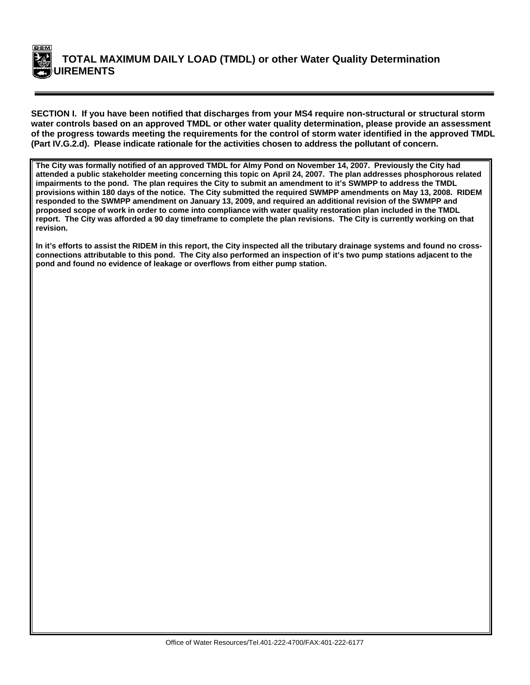

**SECTION I. If you have been notified that discharges from your MS4 require non-structural or structural storm water controls based on an approved TMDL or other water quality determination, please provide an assessment of the progress towards meeting the requirements for the control of storm water identified in the approved TMDL (Part IV.G.2.d). Please indicate rationale for the activities chosen to address the pollutant of concern.** 

**The City was formally notified of an approved TMDL for Almy Pond on November 14, 2007. Previously the City had**  attended a public stakeholder meeting concerning this topic on April 24, 2007. The plan addresses phosphorous related impairments to the pond. The plan requires the City to submit an amendment to it's SWMPP to address the TMDL provisions within 180 days of the notice. The City submitted the required SWMPP amendments on May 13, 2008. RIDEM responded to the SWMPP amendment on January 13, 2009, and required an additional revision of the SWMPP and proposed scope of work in order to come into compliance with water quality restoration plan included in the TMDL report. The City was afforded a 90 day timeframe to complete the plan revisions. The City is currently working on that revision.

**In it's efforts to assist the RIDEM in this report, the City inspected all the tributary drainage systems and found no crossconnections attributable to this pond. The City also performed an inspection of it's two pump stations adjacent to the**  pond and found no evidence of leakage or overflows from either pump station.